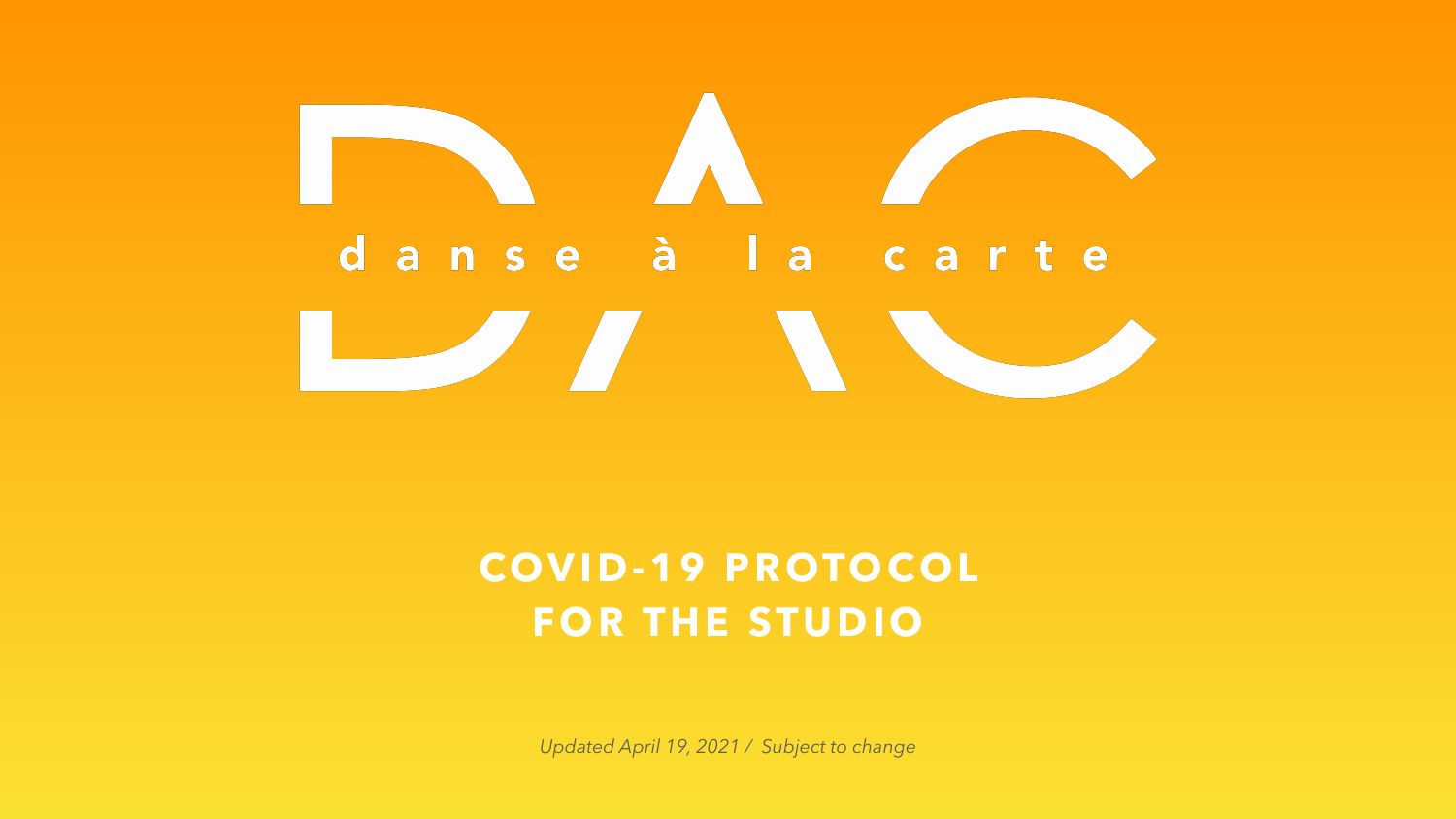## **COVID-19 PROTOCOL FOR THE STUDIO**

*Updated April 19, 2021 / Subject to change*

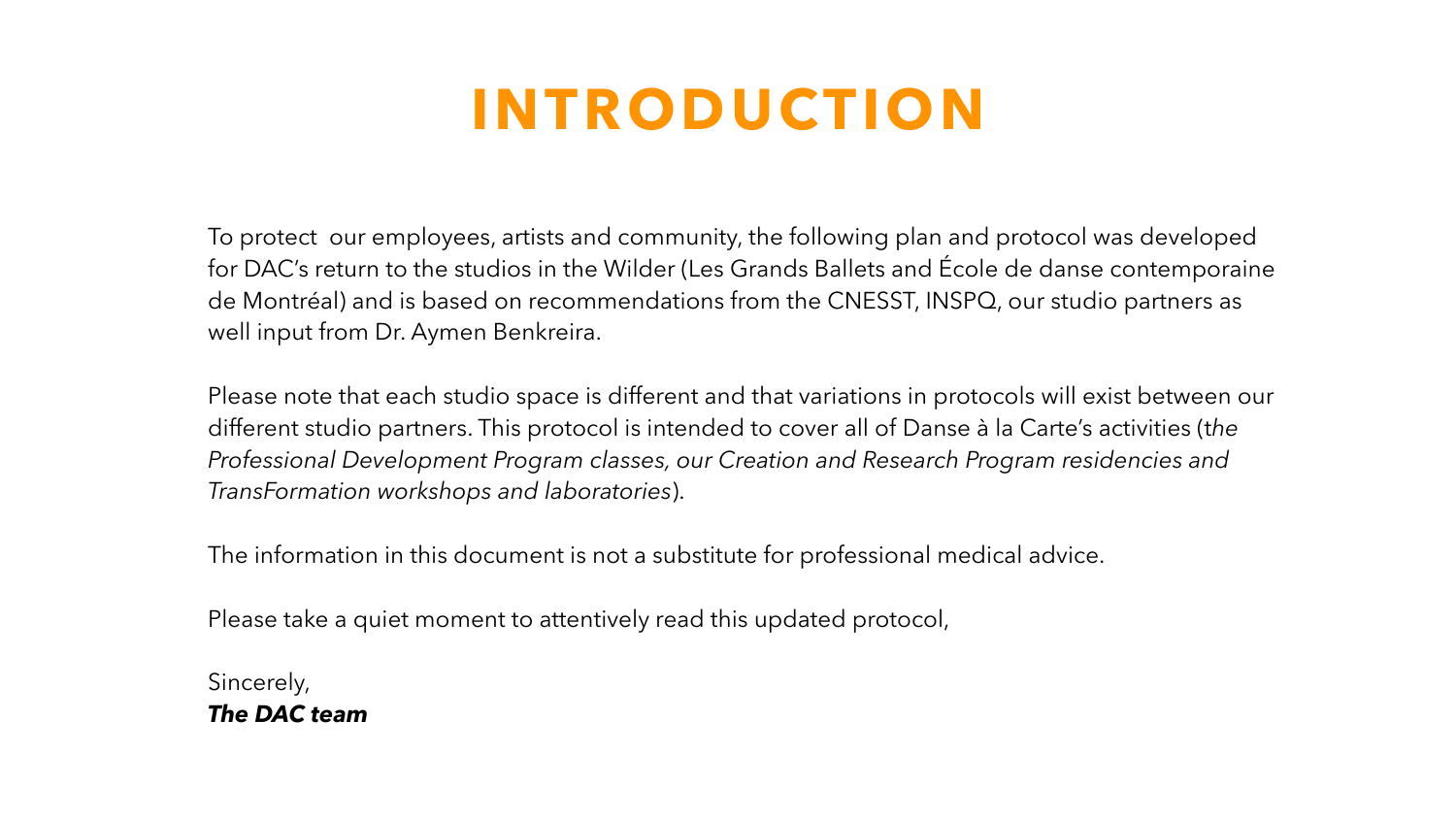# **INTRODUCTION**

To protect our employees, artists and community, the following plan and protocol was developed for DAC's return to the studios in the Wilder (Les Grands Ballets and École de danse contemporaine de Montréal) and is based on recommendations from the CNESST, INSPQ, our studio partners as well input from Dr. Aymen Benkreira.

Please note that each studio space is different and that variations in protocols will exist between our different studio partners. This protocol is intended to cover all of Danse à la Carte's activities (t*he Professional Development Program classes, our Creation and Research Program residencies and TransFormation workshops and laboratories*).

The information in this document is not a substitute for professional medical advice.

Please take a quiet moment to attentively read this updated protocol,

Sincerely, *The DAC team*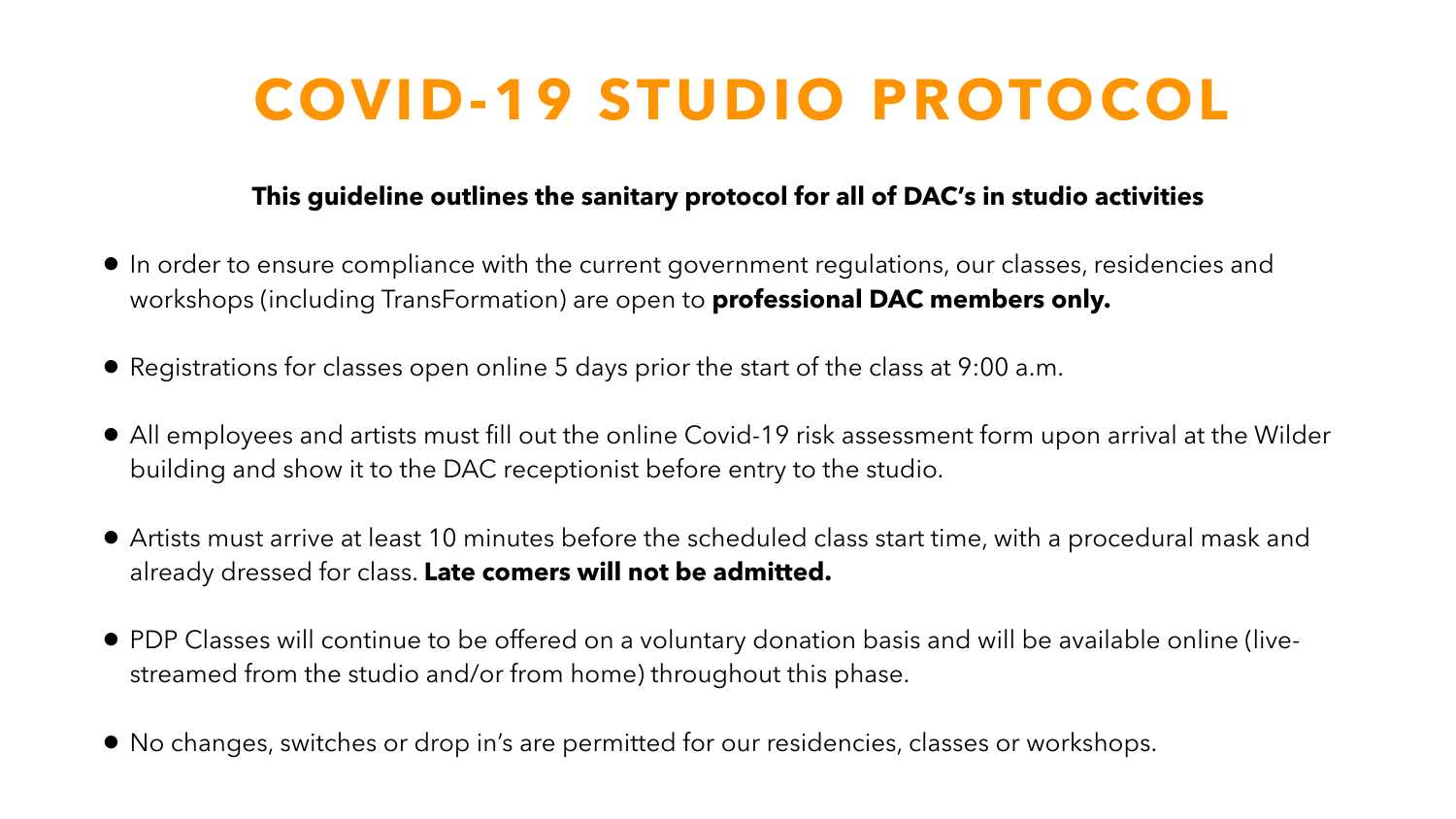# **COVID-19 STUDIO PROTOCOL**

## **This guideline outlines the sanitary protocol for all of DAC's in studio activities**

• In order to ensure compliance with the current government regulations, our classes, residencies and

• All employees and artists must fill out the online Covid-19 risk assessment form upon arrival at the Wilder

- workshops (including TransFormation) are open to **professional DAC members only.**
- Registrations for classes open online 5 days prior the start of the class at 9:00 a.m.
- building and show it to the DAC receptionist before entry to the studio.
- already dressed for class. **Late comers will not be admitted.**
- streamed from the studio and/or from home) throughout this phase.
- No changes, switches or drop in's are permitted for our residencies, classes or workshops.

• Artists must arrive at least 10 minutes before the scheduled class start time, with a procedural mask and

• PDP Classes will continue to be offered on a voluntary donation basis and will be available online (live-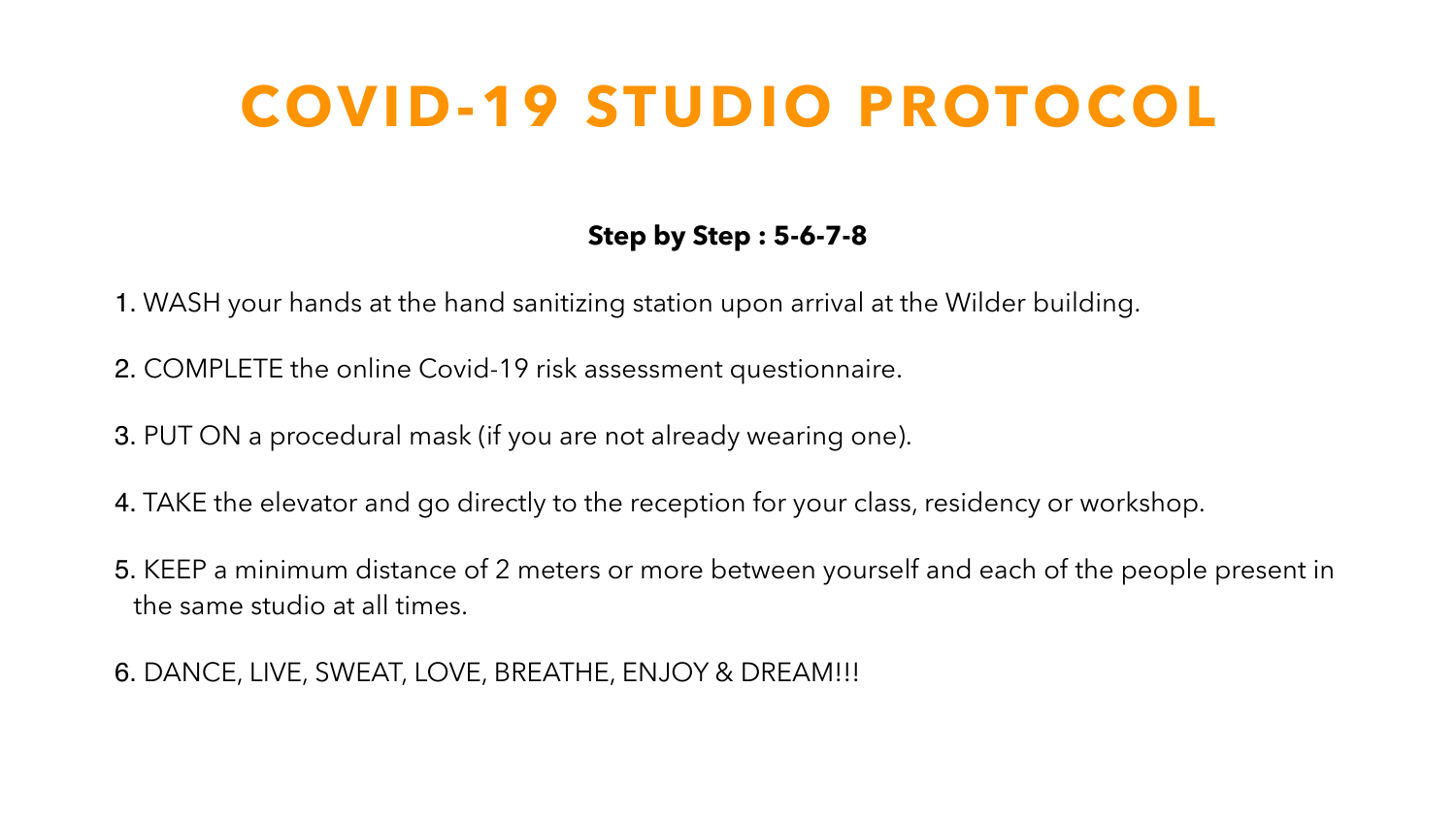## **Step by Step : 5-6-7-8**

- 1. WASH your hands at the hand sanitizing station upon arrival at the Wilder building.
- 2. COMPLETE the online Covid-19 risk assessment questionnaire.
- 3. PUT ON a procedural mask (if you are not already wearing one).
- 4. TAKE the elevator and go directly to the reception for your class, residency or workshop.
- 5. KEEP a minimum distance of 2 meters or more between yourself and each of the people present in the same studio at all times.
- 6. DANCE, LIVE, SWEAT, LOVE, BREATHE, ENJOY & DREAM!!!

# **COVID-19 STUDIO PROTOCOL**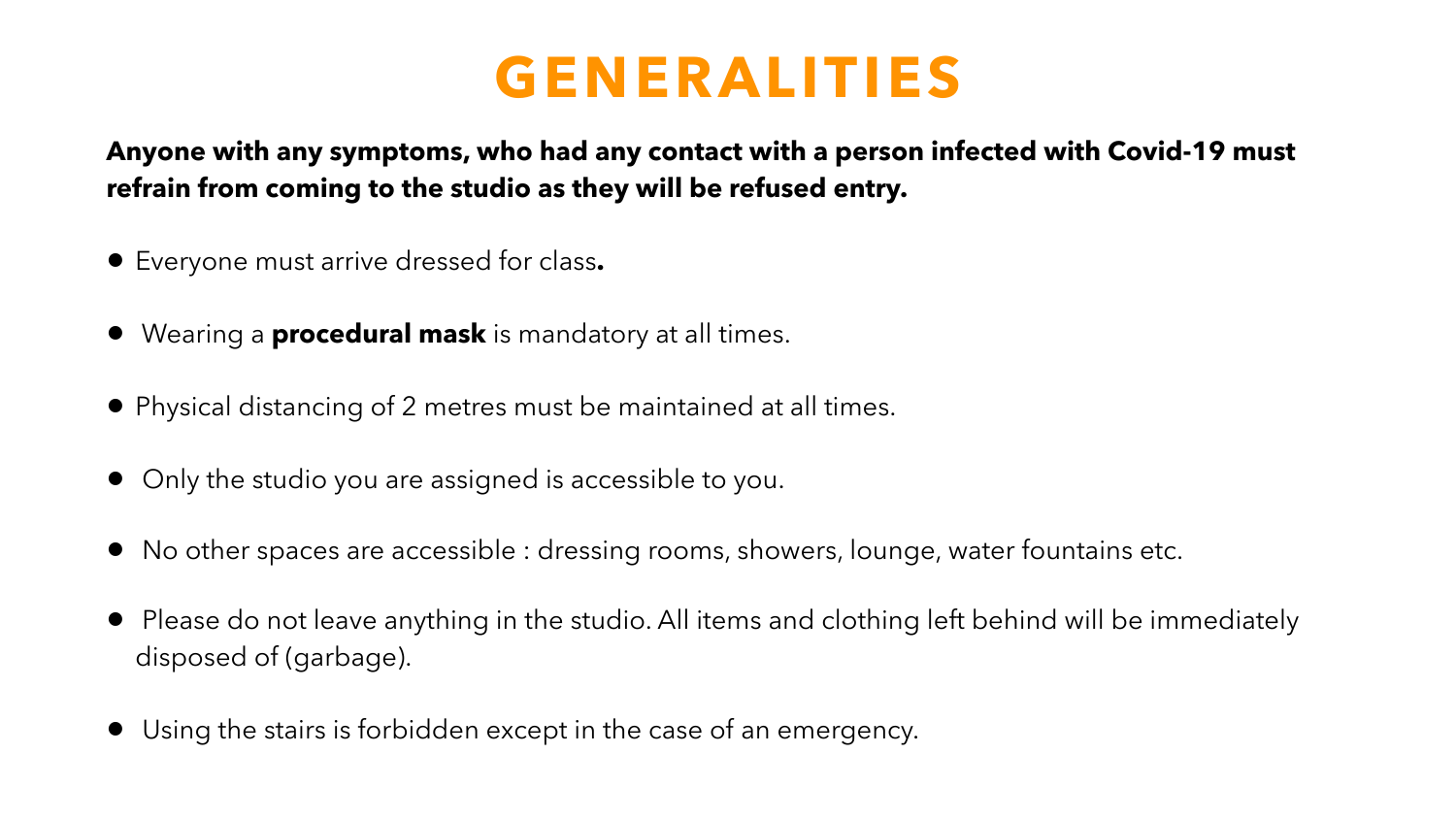## **GENERALITIES**



## **Anyone with any symptoms, who had any contact with a person infected with Covid-19 must refrain from coming to the studio as they will be refused entry.**

- Everyone must arrive dressed for class**.**
- Wearing a **procedural mask** is mandatory at all times.
- Physical distancing of 2 metres must be maintained at all times.
- Only the studio you are assigned is accessible to you.
- No other spaces are accessible : dressing rooms, showers, lounge, water fountains etc.
- disposed of (garbage).
- Using the stairs is forbidden except in the case of an emergency.

• Please do not leave anything in the studio. All items and clothing left behind will be immediately